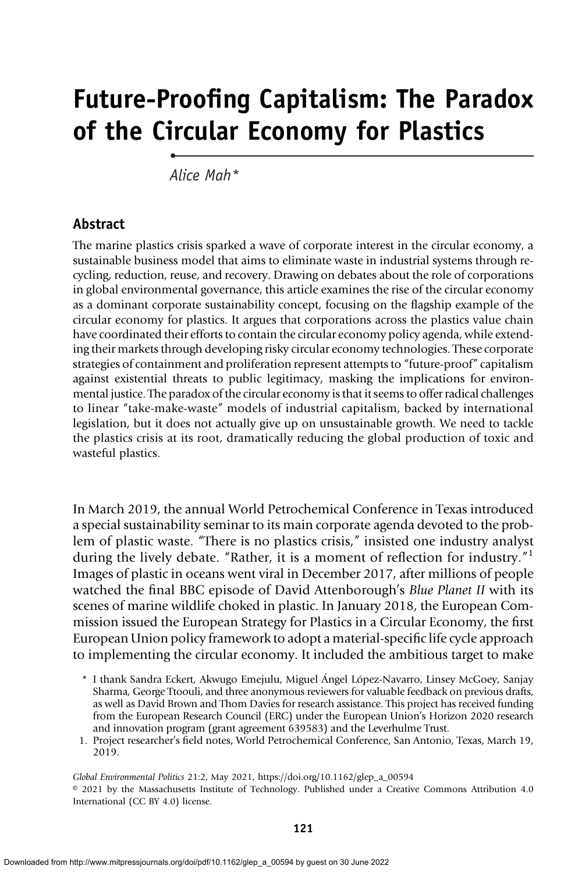# Future-Proofing Capitalism: The Paradox of the Circular Economy for Plastics

Alice Mah\*

•

#### Abstract

The marine plastics crisis sparked a wave of corporate interest in the circular economy, a sustainable business model that aims to eliminate waste in industrial systems through recycling, reduction, reuse, and recovery. Drawing on debates about the role of corporations in global environmental governance, this article examines the rise of the circular economy as a dominant corporate sustainability concept, focusing on the flagship example of the circular economy for plastics. It argues that corporations across the plastics value chain have coordinated their efforts to contain the circular economy policy agenda, while extending their markets through developing risky circular economy technologies. These corporate strategies of containment and proliferation represent attempts to "future-proof" capitalism against existential threats to public legitimacy, masking the implications for environmental justice. The paradox of the circular economy is that it seems to offer radical challenges to linear "take-make-waste" models of industrial capitalism, backed by international legislation, but it does not actually give up on unsustainable growth. We need to tackle the plastics crisis at its root, dramatically reducing the global production of toxic and wasteful plastics.

In March 2019, the annual World Petrochemical Conference in Texas introduced a special sustainability seminar to its main corporate agenda devoted to the problem of plastic waste. "There is no plastics crisis," insisted one industry analyst during the lively debate. "Rather, it is a moment of reflection for industry."<sup>1</sup> Images of plastic in oceans went viral in December 2017, after millions of people watched the final BBC episode of David Attenborough's Blue Planet II with its scenes of marine wildlife choked in plastic. In January 2018, the European Commission issued the European Strategy for Plastics in a Circular Economy, the first European Union policy framework to adopt a material-specific life cycle approach to implementing the circular economy. It included the ambitious target to make

- \* I thank Sandra Eckert, Akwugo Emejulu, Miguel Ángel López-Navarro, Linsey McGoey, Sanjay Sharma, George Ttoouli, and three anonymous reviewers for valuable feedback on previous drafts, as well as David Brown and Thom Davies for research assistance. This project has received funding from the European Research Council (ERC) under the European Union's Horizon 2020 research and innovation program (grant agreement 639583) and the Leverhulme Trust.
- 1. Project researcher's field notes, World Petrochemical Conference, San Antonio, Texas, March 19, 2019.

Global Environmental Politics 21:2, May 2021, https://doi.org/10.1162/glep\_a\_00594

<sup>© 2021</sup> by the Massachusetts Institute of Technology. Published under a Creative Commons Attribution 4.0 International (CC BY 4.0) license.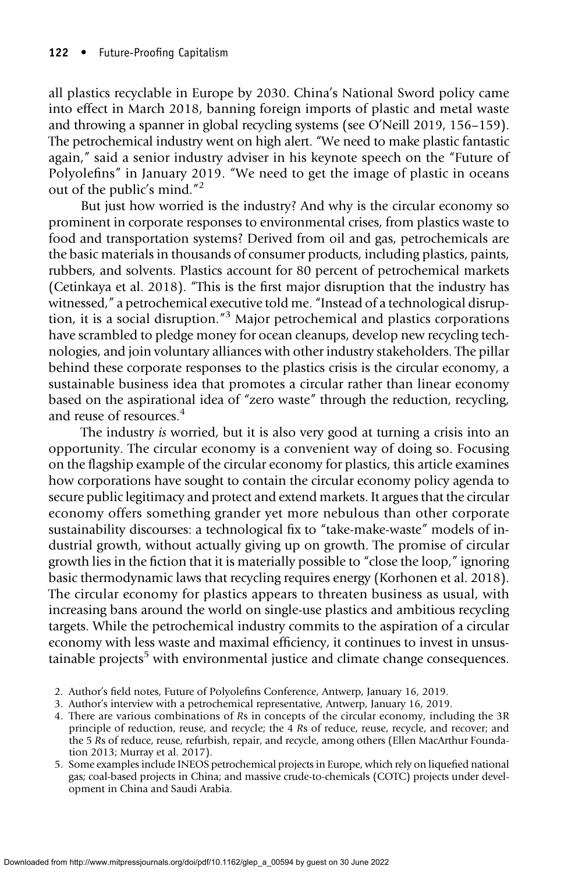all plastics recyclable in Europe by 2030. China's National Sword policy came into effect in March 2018, banning foreign imports of plastic and metal waste and throwing a spanner in global recycling systems (see O'Neill 2019, 156–159). The petrochemical industry went on high alert. "We need to make plastic fantastic again," said a senior industry adviser in his keynote speech on the "Future of Polyolefins" in January 2019. "We need to get the image of plastic in oceans out of the public's mind." 2

But just how worried is the industry? And why is the circular economy so prominent in corporate responses to environmental crises, from plastics waste to food and transportation systems? Derived from oil and gas, petrochemicals are the basic materials in thousands of consumer products, including plastics, paints, rubbers, and solvents. Plastics account for 80 percent of petrochemical markets (Cetinkaya et al. 2018). "This is the first major disruption that the industry has witnessed," a petrochemical executive told me. "Instead of a technological disruption, it is a social disruption."<sup>3</sup> Major petrochemical and plastics corporations have scrambled to pledge money for ocean cleanups, develop new recycling technologies, and join voluntary alliances with other industry stakeholders. The pillar behind these corporate responses to the plastics crisis is the circular economy, a sustainable business idea that promotes a circular rather than linear economy based on the aspirational idea of "zero waste" through the reduction, recycling, and reuse of resources.<sup>4</sup>

The industry is worried, but it is also very good at turning a crisis into an opportunity. The circular economy is a convenient way of doing so. Focusing on the flagship example of the circular economy for plastics, this article examines how corporations have sought to contain the circular economy policy agenda to secure public legitimacy and protect and extend markets. It argues that the circular economy offers something grander yet more nebulous than other corporate sustainability discourses: a technological fix to "take-make-waste" models of industrial growth, without actually giving up on growth. The promise of circular growth lies in the fiction that it is materially possible to "close the loop," ignoring basic thermodynamic laws that recycling requires energy (Korhonen et al. 2018). The circular economy for plastics appears to threaten business as usual, with increasing bans around the world on single-use plastics and ambitious recycling targets. While the petrochemical industry commits to the aspiration of a circular economy with less waste and maximal efficiency, it continues to invest in unsustainable projects<sup>5</sup> with environmental justice and climate change consequences.

- 2. Author's field notes, Future of Polyolefins Conference, Antwerp, January 16, 2019.
- 3. Author's interview with a petrochemical representative, Antwerp, January 16, 2019.
- 4. There are various combinations of Rs in concepts of the circular economy, including the 3R principle of reduction, reuse, and recycle; the 4 Rs of reduce, reuse, recycle, and recover; and the 5 Rs of reduce, reuse, refurbish, repair, and recycle, among others (Ellen MacArthur Foundation 2013; Murray et al. 2017).
- 5. Some examples include INEOS petrochemical projects in Europe, which rely on liquefied national gas; coal-based projects in China; and massive crude-to-chemicals (COTC) projects under development in China and Saudi Arabia.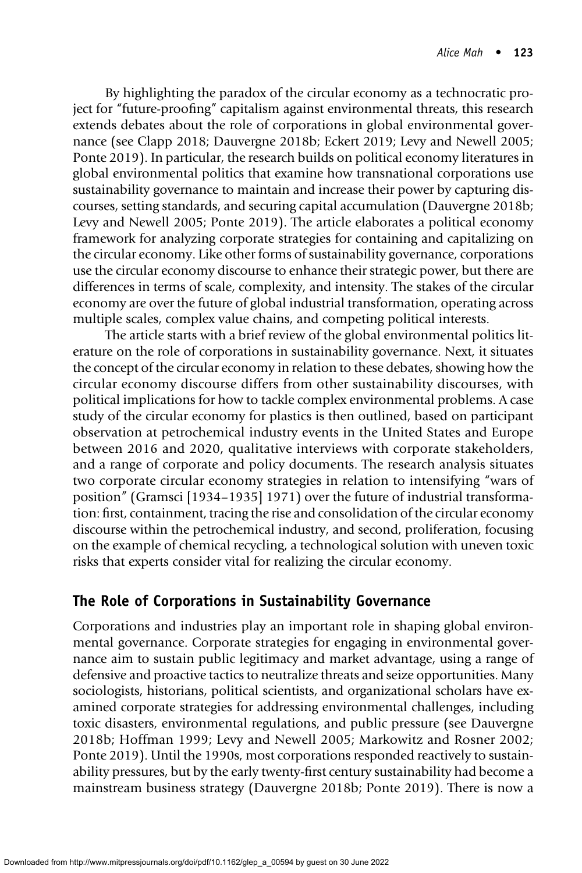By highlighting the paradox of the circular economy as a technocratic project for "future-proofing" capitalism against environmental threats, this research extends debates about the role of corporations in global environmental governance (see Clapp 2018; Dauvergne 2018b; Eckert 2019; Levy and Newell 2005; Ponte 2019). In particular, the research builds on political economy literatures in global environmental politics that examine how transnational corporations use sustainability governance to maintain and increase their power by capturing discourses, setting standards, and securing capital accumulation (Dauvergne 2018b; Levy and Newell 2005; Ponte 2019). The article elaborates a political economy framework for analyzing corporate strategies for containing and capitalizing on the circular economy. Like other forms of sustainability governance, corporations use the circular economy discourse to enhance their strategic power, but there are differences in terms of scale, complexity, and intensity. The stakes of the circular economy are over the future of global industrial transformation, operating across multiple scales, complex value chains, and competing political interests.

The article starts with a brief review of the global environmental politics literature on the role of corporations in sustainability governance. Next, it situates the concept of the circular economy in relation to these debates, showing how the circular economy discourse differs from other sustainability discourses, with political implications for how to tackle complex environmental problems. A case study of the circular economy for plastics is then outlined, based on participant observation at petrochemical industry events in the United States and Europe between 2016 and 2020, qualitative interviews with corporate stakeholders, and a range of corporate and policy documents. The research analysis situates two corporate circular economy strategies in relation to intensifying "wars of position" (Gramsci [1934–1935] 1971) over the future of industrial transformation: first, containment, tracing the rise and consolidation of the circular economy discourse within the petrochemical industry, and second, proliferation, focusing on the example of chemical recycling, a technological solution with uneven toxic risks that experts consider vital for realizing the circular economy.

# The Role of Corporations in Sustainability Governance

Corporations and industries play an important role in shaping global environmental governance. Corporate strategies for engaging in environmental governance aim to sustain public legitimacy and market advantage, using a range of defensive and proactive tactics to neutralize threats and seize opportunities. Many sociologists, historians, political scientists, and organizational scholars have examined corporate strategies for addressing environmental challenges, including toxic disasters, environmental regulations, and public pressure (see Dauvergne 2018b; Hoffman 1999; Levy and Newell 2005; Markowitz and Rosner 2002; Ponte 2019). Until the 1990s, most corporations responded reactively to sustainability pressures, but by the early twenty-first century sustainability had become a mainstream business strategy (Dauvergne 2018b; Ponte 2019). There is now a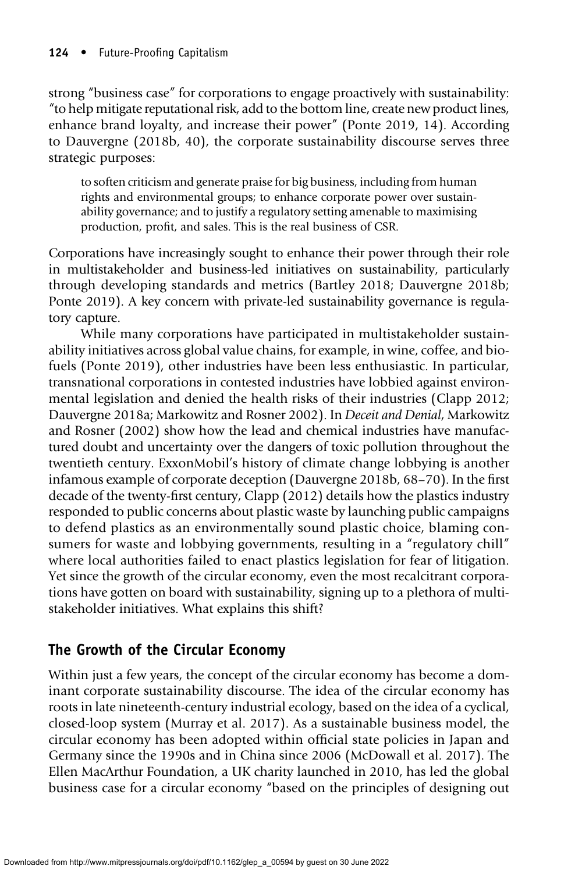strong "business case" for corporations to engage proactively with sustainability: "to help mitigate reputational risk, add to the bottom line, create new product lines, enhance brand loyalty, and increase their power" (Ponte 2019, 14). According to Dauvergne (2018b, 40), the corporate sustainability discourse serves three strategic purposes:

to soften criticism and generate praise for big business, including from human rights and environmental groups; to enhance corporate power over sustainability governance; and to justify a regulatory setting amenable to maximising production, profit, and sales. This is the real business of CSR.

Corporations have increasingly sought to enhance their power through their role in multistakeholder and business-led initiatives on sustainability, particularly through developing standards and metrics (Bartley 2018; Dauvergne 2018b; Ponte 2019). A key concern with private-led sustainability governance is regulatory capture.

While many corporations have participated in multistakeholder sustainability initiatives across global value chains, for example, in wine, coffee, and biofuels (Ponte 2019), other industries have been less enthusiastic. In particular, transnational corporations in contested industries have lobbied against environmental legislation and denied the health risks of their industries (Clapp 2012; Dauvergne 2018a; Markowitz and Rosner 2002). In Deceit and Denial, Markowitz and Rosner (2002) show how the lead and chemical industries have manufactured doubt and uncertainty over the dangers of toxic pollution throughout the twentieth century. ExxonMobil's history of climate change lobbying is another infamous example of corporate deception (Dauvergne 2018b, 68–70). In the first decade of the twenty-first century, Clapp (2012) details how the plastics industry responded to public concerns about plastic waste by launching public campaigns to defend plastics as an environmentally sound plastic choice, blaming consumers for waste and lobbying governments, resulting in a "regulatory chill" where local authorities failed to enact plastics legislation for fear of litigation. Yet since the growth of the circular economy, even the most recalcitrant corporations have gotten on board with sustainability, signing up to a plethora of multistakeholder initiatives. What explains this shift?

# The Growth of the Circular Economy

Within just a few years, the concept of the circular economy has become a dominant corporate sustainability discourse. The idea of the circular economy has roots in late nineteenth-century industrial ecology, based on the idea of a cyclical, closed-loop system (Murray et al. 2017). As a sustainable business model, the circular economy has been adopted within official state policies in Japan and Germany since the 1990s and in China since 2006 (McDowall et al. 2017). The Ellen MacArthur Foundation, a UK charity launched in 2010, has led the global business case for a circular economy "based on the principles of designing out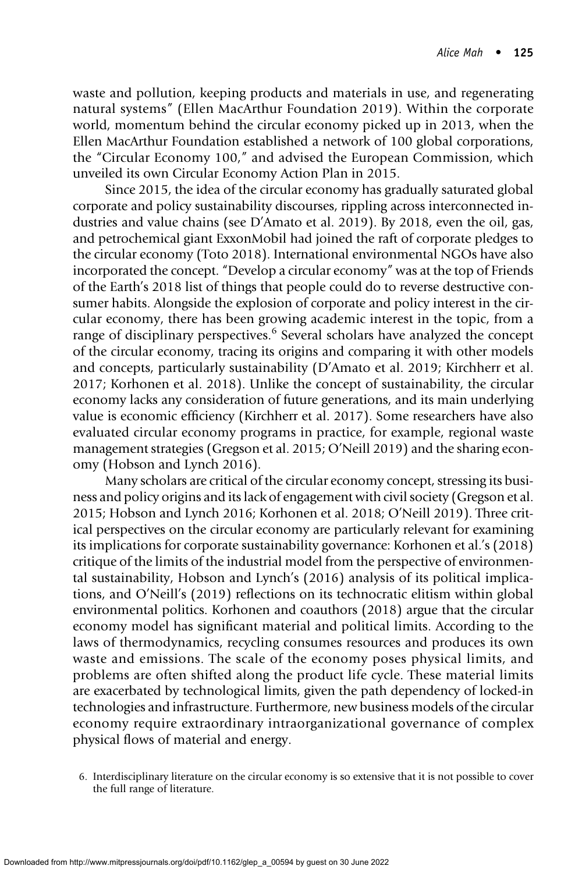waste and pollution, keeping products and materials in use, and regenerating natural systems" (Ellen MacArthur Foundation 2019). Within the corporate world, momentum behind the circular economy picked up in 2013, when the Ellen MacArthur Foundation established a network of 100 global corporations, the "Circular Economy 100," and advised the European Commission, which unveiled its own Circular Economy Action Plan in 2015.

Since 2015, the idea of the circular economy has gradually saturated global corporate and policy sustainability discourses, rippling across interconnected industries and value chains (see D'Amato et al. 2019). By 2018, even the oil, gas, and petrochemical giant ExxonMobil had joined the raft of corporate pledges to the circular economy (Toto 2018). International environmental NGOs have also incorporated the concept. "Develop a circular economy" was at the top of Friends of the Earth's 2018 list of things that people could do to reverse destructive consumer habits. Alongside the explosion of corporate and policy interest in the circular economy, there has been growing academic interest in the topic, from a range of disciplinary perspectives.<sup>6</sup> Several scholars have analyzed the concept of the circular economy, tracing its origins and comparing it with other models and concepts, particularly sustainability (D'Amato et al. 2019; Kirchherr et al. 2017; Korhonen et al. 2018). Unlike the concept of sustainability, the circular economy lacks any consideration of future generations, and its main underlying value is economic efficiency (Kirchherr et al. 2017). Some researchers have also evaluated circular economy programs in practice, for example, regional waste management strategies (Gregson et al. 2015; O'Neill 2019) and the sharing economy (Hobson and Lynch 2016).

Many scholars are critical of the circular economy concept, stressing its business and policy origins and its lack of engagement with civil society (Gregson et al. 2015; Hobson and Lynch 2016; Korhonen et al. 2018; O'Neill 2019). Three critical perspectives on the circular economy are particularly relevant for examining its implications for corporate sustainability governance: Korhonen et al.'s (2018) critique of the limits of the industrial model from the perspective of environmental sustainability, Hobson and Lynch's (2016) analysis of its political implications, and O'Neill's (2019) reflections on its technocratic elitism within global environmental politics. Korhonen and coauthors (2018) argue that the circular economy model has significant material and political limits. According to the laws of thermodynamics, recycling consumes resources and produces its own waste and emissions. The scale of the economy poses physical limits, and problems are often shifted along the product life cycle. These material limits are exacerbated by technological limits, given the path dependency of locked-in technologies and infrastructure. Furthermore, new business models of the circular economy require extraordinary intraorganizational governance of complex physical flows of material and energy.

<sup>6.</sup> Interdisciplinary literature on the circular economy is so extensive that it is not possible to cover the full range of literature.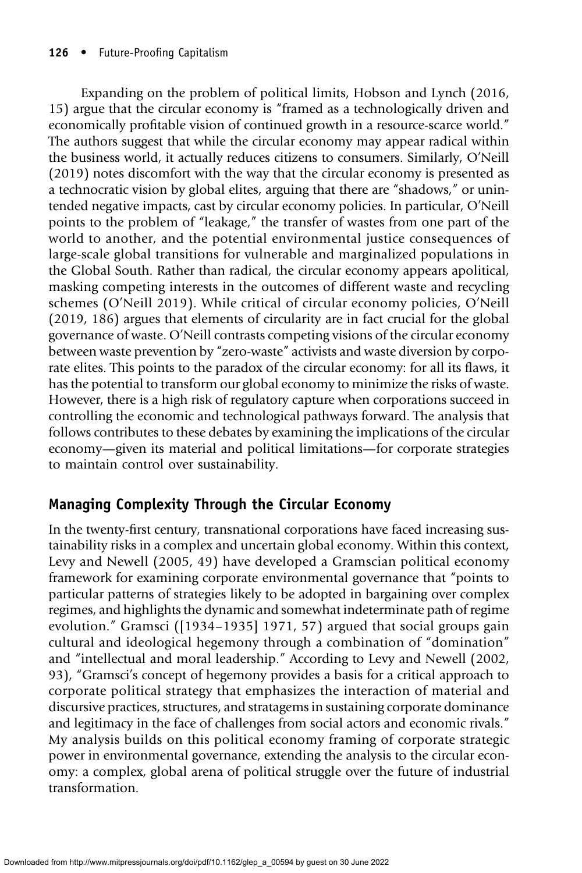Expanding on the problem of political limits, Hobson and Lynch (2016, 15) argue that the circular economy is "framed as a technologically driven and economically profitable vision of continued growth in a resource-scarce world." The authors suggest that while the circular economy may appear radical within the business world, it actually reduces citizens to consumers. Similarly, O'Neill (2019) notes discomfort with the way that the circular economy is presented as a technocratic vision by global elites, arguing that there are "shadows," or unintended negative impacts, cast by circular economy policies. In particular, O'Neill points to the problem of "leakage," the transfer of wastes from one part of the world to another, and the potential environmental justice consequences of large-scale global transitions for vulnerable and marginalized populations in the Global South. Rather than radical, the circular economy appears apolitical, masking competing interests in the outcomes of different waste and recycling schemes (O'Neill 2019). While critical of circular economy policies, O'Neill (2019, 186) argues that elements of circularity are in fact crucial for the global governance of waste. O'Neill contrasts competing visions of the circular economy between waste prevention by "zero-waste" activists and waste diversion by corporate elites. This points to the paradox of the circular economy: for all its flaws, it has the potential to transform our global economy to minimize the risks of waste. However, there is a high risk of regulatory capture when corporations succeed in controlling the economic and technological pathways forward. The analysis that follows contributes to these debates by examining the implications of the circular economy—given its material and political limitations—for corporate strategies to maintain control over sustainability.

# Managing Complexity Through the Circular Economy

In the twenty-first century, transnational corporations have faced increasing sustainability risks in a complex and uncertain global economy. Within this context, Levy and Newell (2005, 49) have developed a Gramscian political economy framework for examining corporate environmental governance that "points to particular patterns of strategies likely to be adopted in bargaining over complex regimes, and highlights the dynamic and somewhat indeterminate path of regime evolution." Gramsci ([1934–1935] 1971, 57) argued that social groups gain cultural and ideological hegemony through a combination of "domination" and "intellectual and moral leadership." According to Levy and Newell (2002, 93), "Gramsci's concept of hegemony provides a basis for a critical approach to corporate political strategy that emphasizes the interaction of material and discursive practices, structures, and stratagems in sustaining corporate dominance and legitimacy in the face of challenges from social actors and economic rivals." My analysis builds on this political economy framing of corporate strategic power in environmental governance, extending the analysis to the circular economy: a complex, global arena of political struggle over the future of industrial transformation.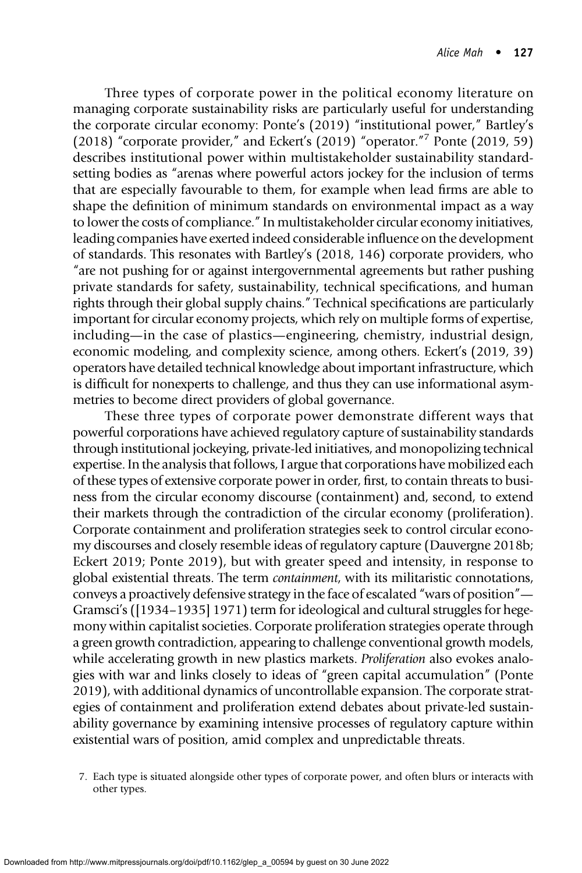Three types of corporate power in the political economy literature on managing corporate sustainability risks are particularly useful for understanding the corporate circular economy: Ponte's (2019) "institutional power," Bartley's (2018) "corporate provider," and Eckert's (2019) "operator." <sup>7</sup> Ponte (2019, 59) describes institutional power within multistakeholder sustainability standardsetting bodies as "arenas where powerful actors jockey for the inclusion of terms that are especially favourable to them, for example when lead firms are able to shape the definition of minimum standards on environmental impact as a way to lower the costs of compliance." In multistakeholder circular economy initiatives, leading companies have exerted indeed considerable influence on the development of standards. This resonates with Bartley's (2018, 146) corporate providers, who "are not pushing for or against intergovernmental agreements but rather pushing private standards for safety, sustainability, technical specifications, and human rights through their global supply chains." Technical specifications are particularly important for circular economy projects, which rely on multiple forms of expertise, including—in the case of plastics—engineering, chemistry, industrial design, economic modeling, and complexity science, among others. Eckert's (2019, 39) operators have detailed technical knowledge about important infrastructure, which is difficult for nonexperts to challenge, and thus they can use informational asymmetries to become direct providers of global governance.

These three types of corporate power demonstrate different ways that powerful corporations have achieved regulatory capture of sustainability standards through institutional jockeying, private-led initiatives, and monopolizing technical expertise. In the analysis that follows, I argue that corporations have mobilized each of these types of extensive corporate power in order, first, to contain threats to business from the circular economy discourse (containment) and, second, to extend their markets through the contradiction of the circular economy (proliferation). Corporate containment and proliferation strategies seek to control circular economy discourses and closely resemble ideas of regulatory capture (Dauvergne 2018b; Eckert 2019; Ponte 2019), but with greater speed and intensity, in response to global existential threats. The term containment, with its militaristic connotations, conveys a proactively defensive strategy in the face of escalated "wars of position"— Gramsci's ([1934–1935] 1971) term for ideological and cultural struggles for hegemony within capitalist societies. Corporate proliferation strategies operate through a green growth contradiction, appearing to challenge conventional growth models, while accelerating growth in new plastics markets. Proliferation also evokes analogies with war and links closely to ideas of "green capital accumulation" (Ponte 2019), with additional dynamics of uncontrollable expansion. The corporate strategies of containment and proliferation extend debates about private-led sustainability governance by examining intensive processes of regulatory capture within existential wars of position, amid complex and unpredictable threats.

<sup>7.</sup> Each type is situated alongside other types of corporate power, and often blurs or interacts with other types.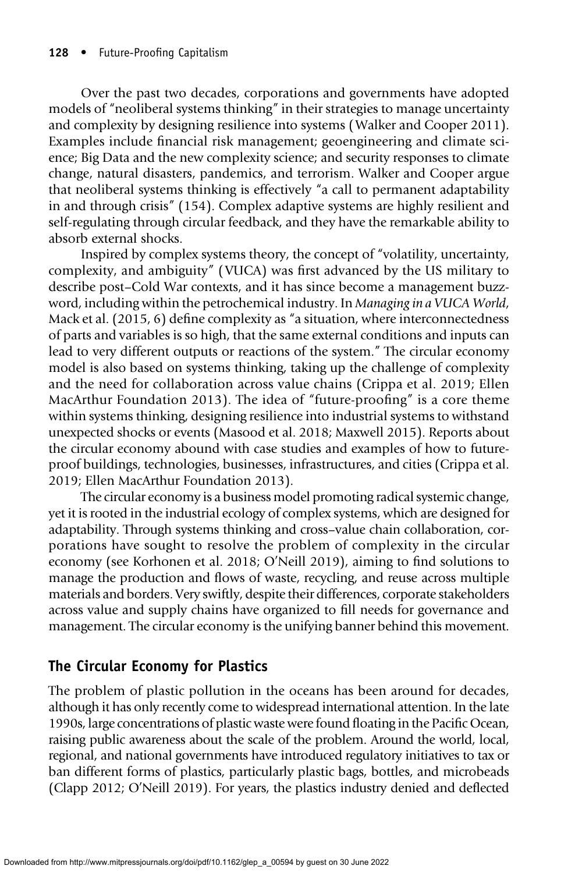Over the past two decades, corporations and governments have adopted models of "neoliberal systems thinking" in their strategies to manage uncertainty and complexity by designing resilience into systems (Walker and Cooper 2011). Examples include financial risk management; geoengineering and climate science; Big Data and the new complexity science; and security responses to climate change, natural disasters, pandemics, and terrorism. Walker and Cooper argue that neoliberal systems thinking is effectively "a call to permanent adaptability in and through crisis" (154). Complex adaptive systems are highly resilient and self-regulating through circular feedback, and they have the remarkable ability to absorb external shocks.

Inspired by complex systems theory, the concept of "volatility, uncertainty, complexity, and ambiguity" (VUCA) was first advanced by the US military to describe post–Cold War contexts, and it has since become a management buzzword, including within the petrochemical industry. In Managing in a VUCA World, Mack et al. (2015, 6) define complexity as "a situation, where interconnectedness of parts and variables is so high, that the same external conditions and inputs can lead to very different outputs or reactions of the system." The circular economy model is also based on systems thinking, taking up the challenge of complexity and the need for collaboration across value chains (Crippa et al. 2019; Ellen MacArthur Foundation 2013). The idea of "future-proofing" is a core theme within systems thinking, designing resilience into industrial systems to withstand unexpected shocks or events (Masood et al. 2018; Maxwell 2015). Reports about the circular economy abound with case studies and examples of how to futureproof buildings, technologies, businesses, infrastructures, and cities (Crippa et al. 2019; Ellen MacArthur Foundation 2013).

The circular economy is a business model promoting radical systemic change, yet it is rooted in the industrial ecology of complex systems, which are designed for adaptability. Through systems thinking and cross–value chain collaboration, corporations have sought to resolve the problem of complexity in the circular economy (see Korhonen et al. 2018; O'Neill 2019), aiming to find solutions to manage the production and flows of waste, recycling, and reuse across multiple materials and borders. Very swiftly, despite their differences, corporate stakeholders across value and supply chains have organized to fill needs for governance and management. The circular economy is the unifying banner behind this movement.

# The Circular Economy for Plastics

The problem of plastic pollution in the oceans has been around for decades, although it has only recently come to widespread international attention. In the late 1990s, large concentrations of plastic waste were found floating in the Pacific Ocean, raising public awareness about the scale of the problem. Around the world, local, regional, and national governments have introduced regulatory initiatives to tax or ban different forms of plastics, particularly plastic bags, bottles, and microbeads (Clapp 2012; O'Neill 2019). For years, the plastics industry denied and deflected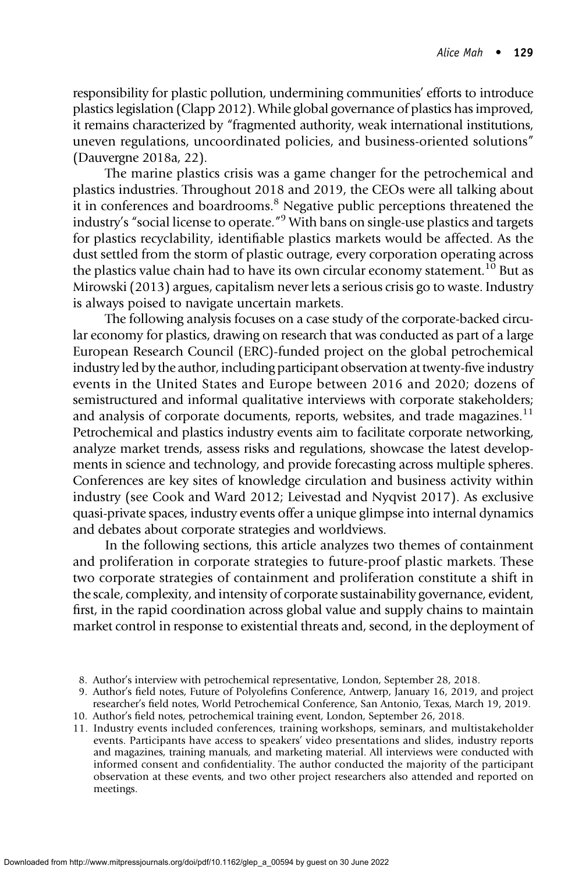responsibility for plastic pollution, undermining communities' efforts to introduce plastics legislation (Clapp 2012). While global governance of plastics has improved, it remains characterized by "fragmented authority, weak international institutions, uneven regulations, uncoordinated policies, and business-oriented solutions" (Dauvergne 2018a, 22).

The marine plastics crisis was a game changer for the petrochemical and plastics industries. Throughout 2018 and 2019, the CEOs were all talking about it in conferences and boardrooms.8 Negative public perceptions threatened the industry's "social license to operate." <sup>9</sup> With bans on single-use plastics and targets for plastics recyclability, identifiable plastics markets would be affected. As the dust settled from the storm of plastic outrage, every corporation operating across the plastics value chain had to have its own circular economy statement.<sup>10</sup> But as Mirowski (2013) argues, capitalism never lets a serious crisis go to waste. Industry is always poised to navigate uncertain markets.

The following analysis focuses on a case study of the corporate-backed circular economy for plastics, drawing on research that was conducted as part of a large European Research Council (ERC)-funded project on the global petrochemical industry led by the author, including participant observation at twenty-five industry events in the United States and Europe between 2016 and 2020; dozens of semistructured and informal qualitative interviews with corporate stakeholders; and analysis of corporate documents, reports, websites, and trade magazines. $11$ Petrochemical and plastics industry events aim to facilitate corporate networking, analyze market trends, assess risks and regulations, showcase the latest developments in science and technology, and provide forecasting across multiple spheres. Conferences are key sites of knowledge circulation and business activity within industry (see Cook and Ward 2012; Leivestad and Nyqvist 2017). As exclusive quasi-private spaces, industry events offer a unique glimpse into internal dynamics and debates about corporate strategies and worldviews.

In the following sections, this article analyzes two themes of containment and proliferation in corporate strategies to future-proof plastic markets. These two corporate strategies of containment and proliferation constitute a shift in the scale, complexity, and intensity of corporate sustainability governance, evident, first, in the rapid coordination across global value and supply chains to maintain market control in response to existential threats and, second, in the deployment of

11. Industry events included conferences, training workshops, seminars, and multistakeholder events. Participants have access to speakers' video presentations and slides, industry reports and magazines, training manuals, and marketing material. All interviews were conducted with informed consent and confidentiality. The author conducted the majority of the participant observation at these events, and two other project researchers also attended and reported on meetings.

<sup>8.</sup> Author's interview with petrochemical representative, London, September 28, 2018.

<sup>9.</sup> Author's field notes, Future of Polyolefins Conference, Antwerp, January 16, 2019, and project researcher's field notes, World Petrochemical Conference, San Antonio, Texas, March 19, 2019.

<sup>10.</sup> Author's field notes, petrochemical training event, London, September 26, 2018.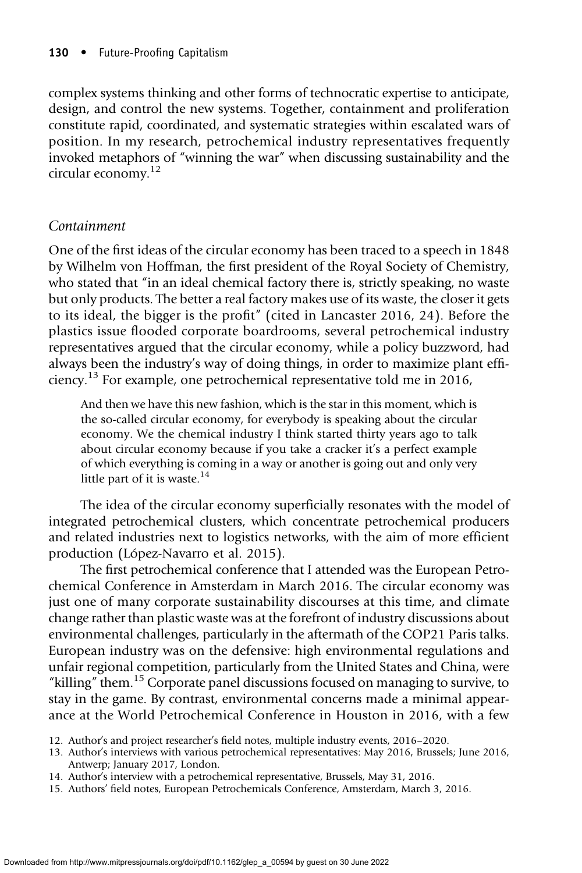complex systems thinking and other forms of technocratic expertise to anticipate, design, and control the new systems. Together, containment and proliferation constitute rapid, coordinated, and systematic strategies within escalated wars of position. In my research, petrochemical industry representatives frequently invoked metaphors of "winning the war" when discussing sustainability and the circular economy.12

#### Containment

One of the first ideas of the circular economy has been traced to a speech in 1848 by Wilhelm von Hoffman, the first president of the Royal Society of Chemistry, who stated that "in an ideal chemical factory there is, strictly speaking, no waste but only products. The better a real factory makes use of its waste, the closer it gets to its ideal, the bigger is the profit" (cited in Lancaster 2016, 24). Before the plastics issue flooded corporate boardrooms, several petrochemical industry representatives argued that the circular economy, while a policy buzzword, had always been the industry's way of doing things, in order to maximize plant efficiency.<sup>13</sup> For example, one petrochemical representative told me in 2016,

And then we have this new fashion, which is the star in this moment, which is the so-called circular economy, for everybody is speaking about the circular economy. We the chemical industry I think started thirty years ago to talk about circular economy because if you take a cracker it's a perfect example of which everything is coming in a way or another is going out and only very little part of it is waste. $14$ 

The idea of the circular economy superficially resonates with the model of integrated petrochemical clusters, which concentrate petrochemical producers and related industries next to logistics networks, with the aim of more efficient production (López-Navarro et al. 2015).

The first petrochemical conference that I attended was the European Petrochemical Conference in Amsterdam in March 2016. The circular economy was just one of many corporate sustainability discourses at this time, and climate change rather than plastic waste was at the forefront of industry discussions about environmental challenges, particularly in the aftermath of the COP21 Paris talks. European industry was on the defensive: high environmental regulations and unfair regional competition, particularly from the United States and China, were "killing" them.<sup>15</sup> Corporate panel discussions focused on managing to survive, to stay in the game. By contrast, environmental concerns made a minimal appearance at the World Petrochemical Conference in Houston in 2016, with a few

- 12. Author's and project researcher's field notes, multiple industry events, 2016–2020.
- 13. Author's interviews with various petrochemical representatives: May 2016, Brussels; June 2016, Antwerp; January 2017, London.
- 14. Author's interview with a petrochemical representative, Brussels, May 31, 2016.
- 15. Authors' field notes, European Petrochemicals Conference, Amsterdam, March 3, 2016.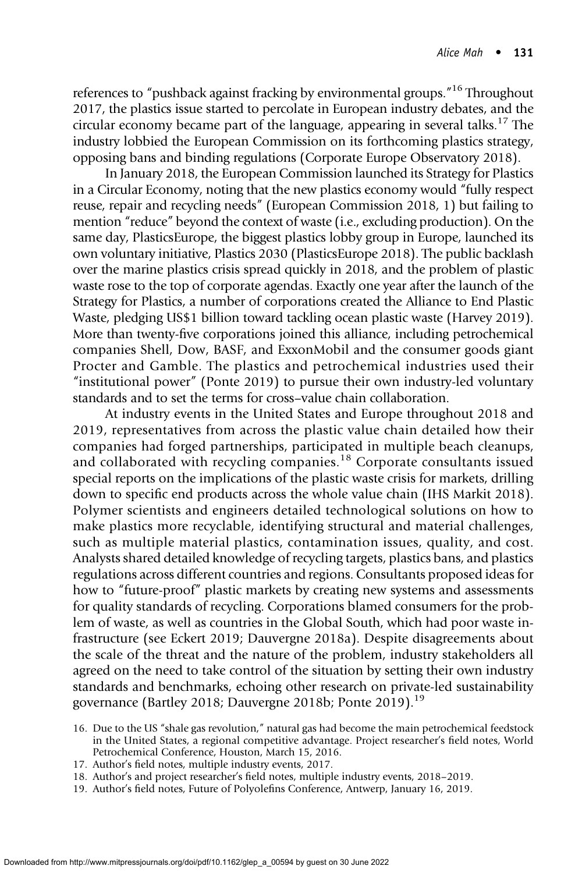references to "pushback against fracking by environmental groups." <sup>16</sup> Throughout 2017, the plastics issue started to percolate in European industry debates, and the circular economy became part of the language, appearing in several talks.<sup>17</sup> The industry lobbied the European Commission on its forthcoming plastics strategy, opposing bans and binding regulations (Corporate Europe Observatory 2018).

In January 2018, the European Commission launched its Strategy for Plastics in a Circular Economy, noting that the new plastics economy would "fully respect reuse, repair and recycling needs" (European Commission 2018, 1) but failing to mention "reduce" beyond the context of waste (i.e., excluding production). On the same day, PlasticsEurope, the biggest plastics lobby group in Europe, launched its own voluntary initiative, Plastics 2030 (PlasticsEurope 2018). The public backlash over the marine plastics crisis spread quickly in 2018, and the problem of plastic waste rose to the top of corporate agendas. Exactly one year after the launch of the Strategy for Plastics, a number of corporations created the Alliance to End Plastic Waste, pledging US\$1 billion toward tackling ocean plastic waste (Harvey 2019). More than twenty-five corporations joined this alliance, including petrochemical companies Shell, Dow, BASF, and ExxonMobil and the consumer goods giant Procter and Gamble. The plastics and petrochemical industries used their "institutional power" (Ponte 2019) to pursue their own industry-led voluntary standards and to set the terms for cross–value chain collaboration.

At industry events in the United States and Europe throughout 2018 and 2019, representatives from across the plastic value chain detailed how their companies had forged partnerships, participated in multiple beach cleanups, and collaborated with recycling companies.<sup>18</sup> Corporate consultants issued special reports on the implications of the plastic waste crisis for markets, drilling down to specific end products across the whole value chain (IHS Markit 2018). Polymer scientists and engineers detailed technological solutions on how to make plastics more recyclable, identifying structural and material challenges, such as multiple material plastics, contamination issues, quality, and cost. Analysts shared detailed knowledge of recycling targets, plastics bans, and plastics regulations across different countries and regions. Consultants proposed ideas for how to "future-proof" plastic markets by creating new systems and assessments for quality standards of recycling. Corporations blamed consumers for the problem of waste, as well as countries in the Global South, which had poor waste infrastructure (see Eckert 2019; Dauvergne 2018a). Despite disagreements about the scale of the threat and the nature of the problem, industry stakeholders all agreed on the need to take control of the situation by setting their own industry standards and benchmarks, echoing other research on private-led sustainability governance (Bartley 2018; Dauvergne 2018b; Ponte 2019).<sup>19</sup>

- 16. Due to the US "shale gas revolution," natural gas had become the main petrochemical feedstock in the United States, a regional competitive advantage. Project researcher's field notes, World Petrochemical Conference, Houston, March 15, 2016.
- 17. Author's field notes, multiple industry events, 2017.
- 18. Author's and project researcher's field notes, multiple industry events, 2018–2019.
- 19. Author's field notes, Future of Polyolefins Conference, Antwerp, January 16, 2019.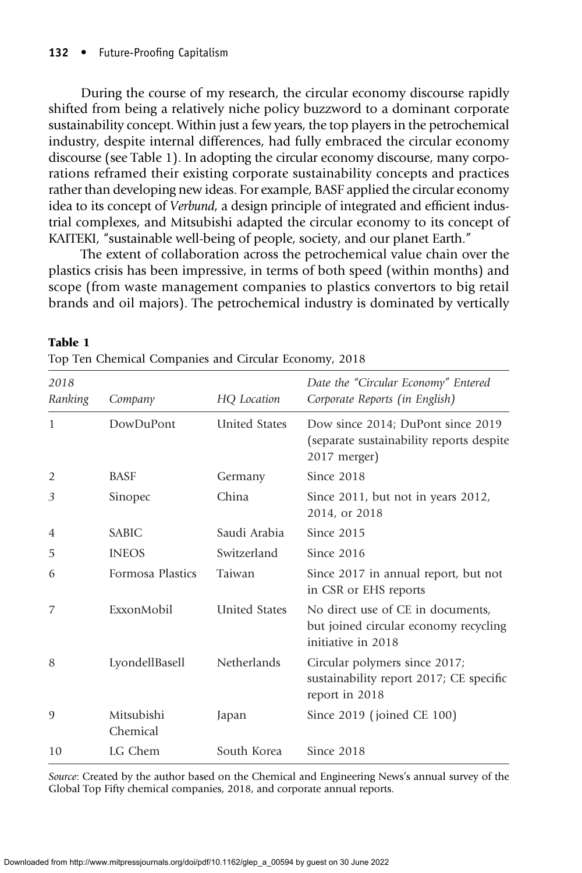$T<sub>1</sub>$ 

During the course of my research, the circular economy discourse rapidly shifted from being a relatively niche policy buzzword to a dominant corporate sustainability concept. Within just a few years, the top players in the petrochemical industry, despite internal differences, had fully embraced the circular economy discourse (see Table 1). In adopting the circular economy discourse, many corporations reframed their existing corporate sustainability concepts and practices rather than developing new ideas. For example, BASF applied the circular economy idea to its concept of Verbund, a design principle of integrated and efficient industrial complexes, and Mitsubishi adapted the circular economy to its concept of KAITEKI, "sustainable well-being of people, society, and our planet Earth."

The extent of collaboration across the petrochemical value chain over the plastics crisis has been impressive, in terms of both speed (within months) and scope (from waste management companies to plastics convertors to big retail brands and oil majors). The petrochemical industry is dominated by vertically

| 2018<br>Ranking | Company                | HQ Location          | Date the "Circular Economy" Entered<br>Corporate Reports (in English)                            |  |
|-----------------|------------------------|----------------------|--------------------------------------------------------------------------------------------------|--|
| $\mathbf{1}$    | DowDuPont              | <b>United States</b> | Dow since 2014; DuPont since 2019<br>(separate sustainability reports despite)<br>2017 merger)   |  |
| $\overline{2}$  | <b>BASF</b>            | Germany              | Since 2018                                                                                       |  |
| 3               | Sinopec                | China                | Since 2011, but not in years 2012,<br>2014, or 2018                                              |  |
| 4               | <b>SABIC</b>           | Saudi Arabia         | Since 2015                                                                                       |  |
| 5               | <b>INEOS</b>           | Switzerland          | Since 2016                                                                                       |  |
| 6               | Formosa Plastics       | Taiwan               | Since 2017 in annual report, but not<br>in CSR or EHS reports                                    |  |
| 7               | ExxonMobil             | <b>United States</b> | No direct use of CE in documents,<br>but joined circular economy recycling<br>initiative in 2018 |  |
| 8               | LyondellBasell         | Netherlands          | Circular polymers since 2017;<br>sustainability report 2017; CE specific<br>report in 2018       |  |
| $\mathcal{O}$   | Mitsubishi<br>Chemical | Japan                | Since 2019 (joined CE 100)                                                                       |  |
| 10              | LG Chem                | South Korea          | Since 2018                                                                                       |  |
|                 |                        |                      |                                                                                                  |  |

| radie 1                                               |  |  |
|-------------------------------------------------------|--|--|
| Top Ten Chemical Companies and Circular Economy, 2018 |  |  |

Source: Created by the author based on the Chemical and Engineering News's annual survey of the Global Top Fifty chemical companies, 2018, and corporate annual reports.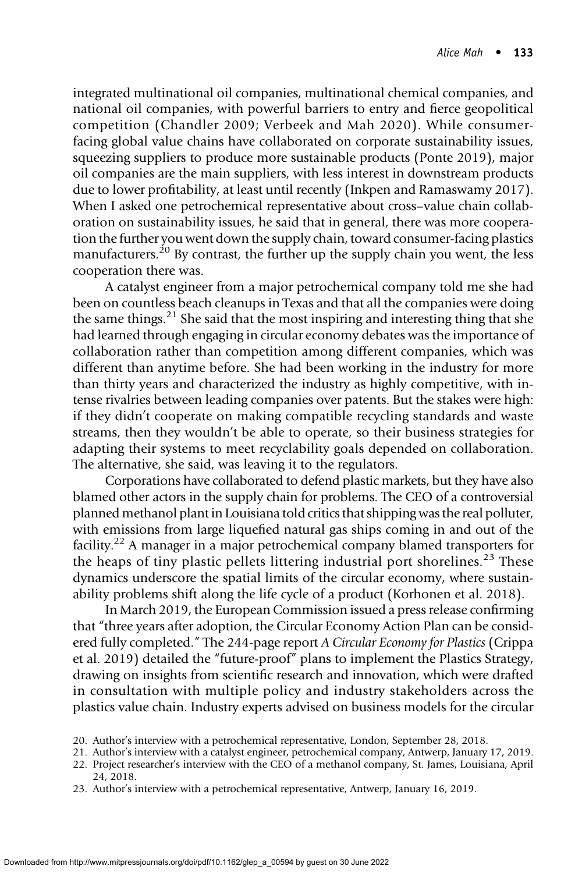integrated multinational oil companies, multinational chemical companies, and national oil companies, with powerful barriers to entry and fierce geopolitical competition (Chandler 2009; Verbeek and Mah 2020). While consumerfacing global value chains have collaborated on corporate sustainability issues, squeezing suppliers to produce more sustainable products (Ponte 2019), major oil companies are the main suppliers, with less interest in downstream products due to lower profitability, at least until recently (Inkpen and Ramaswamy 2017). When I asked one petrochemical representative about cross–value chain collaboration on sustainability issues, he said that in general, there was more cooperation the further you went down the supply chain, toward consumer-facing plastics manufacturers.<sup>20</sup> By contrast, the further up the supply chain you went, the less cooperation there was.

A catalyst engineer from a major petrochemical company told me she had been on countless beach cleanups in Texas and that all the companies were doing the same things.<sup>21</sup> She said that the most inspiring and interesting thing that she had learned through engaging in circular economy debates was the importance of collaboration rather than competition among different companies, which was different than anytime before. She had been working in the industry for more than thirty years and characterized the industry as highly competitive, with intense rivalries between leading companies over patents. But the stakes were high: if they didn't cooperate on making compatible recycling standards and waste streams, then they wouldn't be able to operate, so their business strategies for adapting their systems to meet recyclability goals depended on collaboration. The alternative, she said, was leaving it to the regulators.

Corporations have collaborated to defend plastic markets, but they have also blamed other actors in the supply chain for problems. The CEO of a controversial planned methanol plant in Louisiana told critics that shipping was the real polluter, with emissions from large liquefied natural gas ships coming in and out of the facility.<sup>22</sup> A manager in a major petrochemical company blamed transporters for the heaps of tiny plastic pellets littering industrial port shorelines.<sup>23</sup> These dynamics underscore the spatial limits of the circular economy, where sustainability problems shift along the life cycle of a product (Korhonen et al. 2018).

In March 2019, the European Commission issued a press release confirming that "three years after adoption, the Circular Economy Action Plan can be considered fully completed." The 244-page report A Circular Economy for Plastics (Crippa et al. 2019) detailed the "future-proof" plans to implement the Plastics Strategy, drawing on insights from scientific research and innovation, which were drafted in consultation with multiple policy and industry stakeholders across the plastics value chain. Industry experts advised on business models for the circular

<sup>20.</sup> Author's interview with a petrochemical representative, London, September 28, 2018.

<sup>21.</sup> Author's interview with a catalyst engineer, petrochemical company, Antwerp, January 17, 2019.

<sup>22.</sup> Project researcher's interview with the CEO of a methanol company, St. James, Louisiana, April 24, 2018.

<sup>23.</sup> Author's interview with a petrochemical representative, Antwerp, January 16, 2019.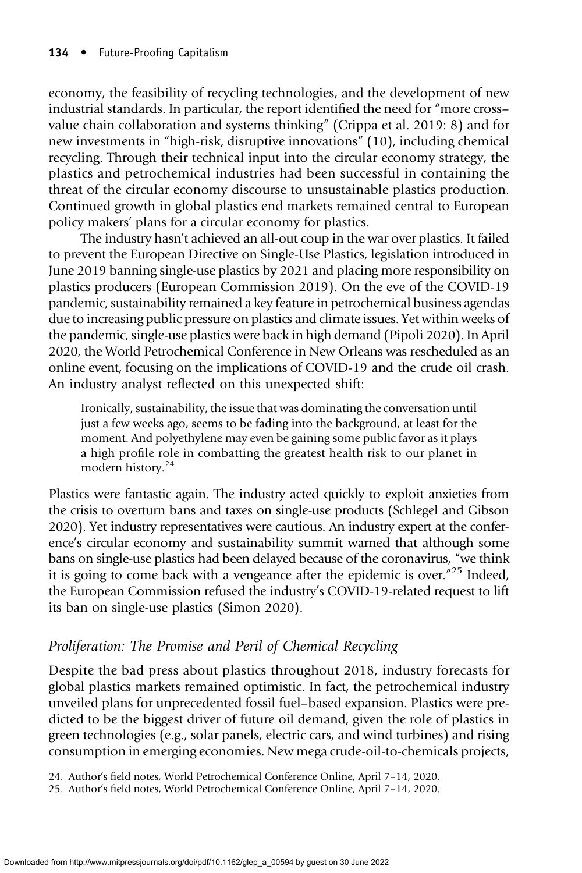economy, the feasibility of recycling technologies, and the development of new industrial standards. In particular, the report identified the need for "more cross– value chain collaboration and systems thinking" (Crippa et al. 2019: 8) and for new investments in "high-risk, disruptive innovations" (10), including chemical recycling. Through their technical input into the circular economy strategy, the plastics and petrochemical industries had been successful in containing the threat of the circular economy discourse to unsustainable plastics production. Continued growth in global plastics end markets remained central to European policy makers' plans for a circular economy for plastics.

The industry hasn't achieved an all-out coup in the war over plastics. It failed to prevent the European Directive on Single-Use Plastics, legislation introduced in June 2019 banning single-use plastics by 2021 and placing more responsibility on plastics producers (European Commission 2019). On the eve of the COVID-19 pandemic, sustainability remained a key feature in petrochemical business agendas due to increasing public pressure on plastics and climate issues. Yet within weeks of the pandemic, single-use plastics were back in high demand (Pipoli 2020). In April 2020, the World Petrochemical Conference in New Orleans was rescheduled as an online event, focusing on the implications of COVID-19 and the crude oil crash. An industry analyst reflected on this unexpected shift:

Ironically, sustainability, the issue that was dominating the conversation until just a few weeks ago, seems to be fading into the background, at least for the moment. And polyethylene may even be gaining some public favor as it plays a high profile role in combatting the greatest health risk to our planet in modern history.<sup>24</sup>

Plastics were fantastic again. The industry acted quickly to exploit anxieties from the crisis to overturn bans and taxes on single-use products (Schlegel and Gibson 2020). Yet industry representatives were cautious. An industry expert at the conference's circular economy and sustainability summit warned that although some bans on single-use plastics had been delayed because of the coronavirus, "we think it is going to come back with a vengeance after the epidemic is over."<sup>25</sup> Indeed, the European Commission refused the industry's COVID-19-related request to lift its ban on single-use plastics (Simon 2020).

#### Proliferation: The Promise and Peril of Chemical Recycling

Despite the bad press about plastics throughout 2018, industry forecasts for global plastics markets remained optimistic. In fact, the petrochemical industry unveiled plans for unprecedented fossil fuel–based expansion. Plastics were predicted to be the biggest driver of future oil demand, given the role of plastics in green technologies (e.g., solar panels, electric cars, and wind turbines) and rising consumption in emerging economies. New mega crude-oil-to-chemicals projects,

24. Author's field notes, World Petrochemical Conference Online, April 7–14, 2020.

25. Author's field notes, World Petrochemical Conference Online, April 7–14, 2020.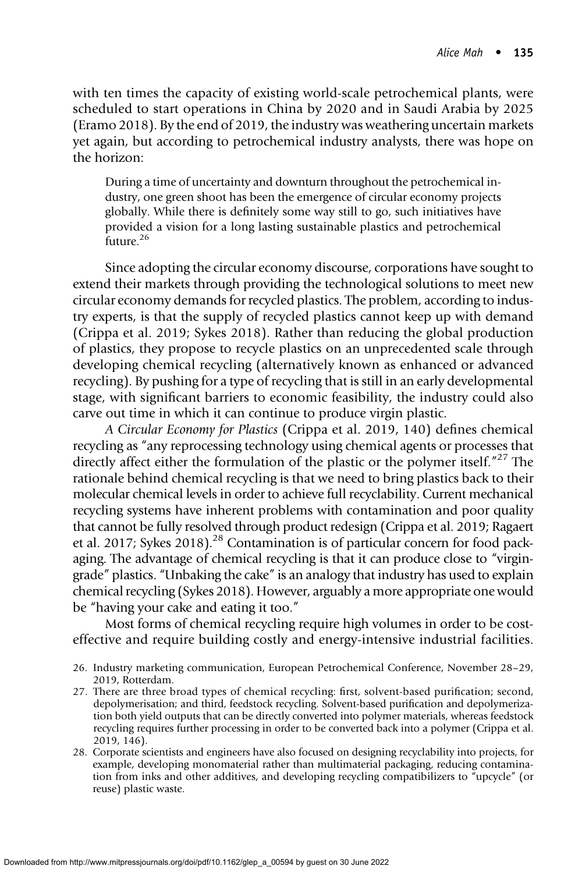with ten times the capacity of existing world-scale petrochemical plants, were scheduled to start operations in China by 2020 and in Saudi Arabia by 2025 (Eramo 2018). By the end of 2019, the industry was weathering uncertain markets yet again, but according to petrochemical industry analysts, there was hope on the horizon:

During a time of uncertainty and downturn throughout the petrochemical industry, one green shoot has been the emergence of circular economy projects globally. While there is definitely some way still to go, such initiatives have provided a vision for a long lasting sustainable plastics and petrochemical future.<sup>26</sup>

Since adopting the circular economy discourse, corporations have sought to extend their markets through providing the technological solutions to meet new circular economy demands for recycled plastics. The problem, according to industry experts, is that the supply of recycled plastics cannot keep up with demand (Crippa et al. 2019; Sykes 2018). Rather than reducing the global production of plastics, they propose to recycle plastics on an unprecedented scale through developing chemical recycling (alternatively known as enhanced or advanced recycling). By pushing for a type of recycling that is still in an early developmental stage, with significant barriers to economic feasibility, the industry could also carve out time in which it can continue to produce virgin plastic.

A Circular Economy for Plastics (Crippa et al. 2019, 140) defines chemical recycling as "any reprocessing technology using chemical agents or processes that directly affect either the formulation of the plastic or the polymer itself."<sup>27</sup> The rationale behind chemical recycling is that we need to bring plastics back to their molecular chemical levels in order to achieve full recyclability. Current mechanical recycling systems have inherent problems with contamination and poor quality that cannot be fully resolved through product redesign (Crippa et al. 2019; Ragaert et al. 2017; Sykes 2018).28 Contamination is of particular concern for food packaging. The advantage of chemical recycling is that it can produce close to "virgingrade" plastics. "Unbaking the cake" is an analogy that industry has used to explain chemical recycling (Sykes 2018). However, arguably a more appropriate one would be "having your cake and eating it too."

Most forms of chemical recycling require high volumes in order to be costeffective and require building costly and energy-intensive industrial facilities.

- 26. Industry marketing communication, European Petrochemical Conference, November 28–29, 2019, Rotterdam.
- 27. There are three broad types of chemical recycling: first, solvent-based purification; second, depolymerisation; and third, feedstock recycling. Solvent-based purification and depolymerization both yield outputs that can be directly converted into polymer materials, whereas feedstock recycling requires further processing in order to be converted back into a polymer (Crippa et al. 2019, 146).
- 28. Corporate scientists and engineers have also focused on designing recyclability into projects, for example, developing monomaterial rather than multimaterial packaging, reducing contamination from inks and other additives, and developing recycling compatibilizers to "upcycle" (or reuse) plastic waste.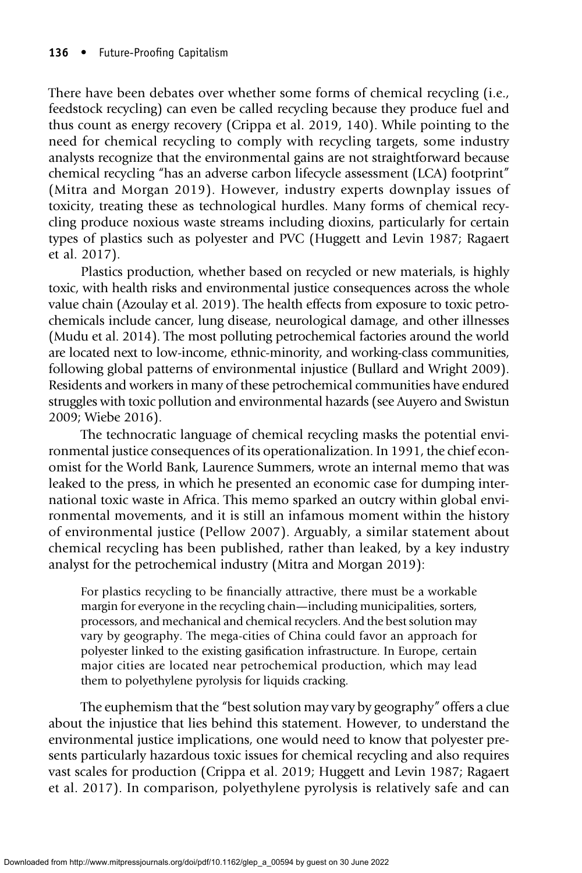There have been debates over whether some forms of chemical recycling (i.e., feedstock recycling) can even be called recycling because they produce fuel and thus count as energy recovery (Crippa et al. 2019, 140). While pointing to the need for chemical recycling to comply with recycling targets, some industry analysts recognize that the environmental gains are not straightforward because chemical recycling "has an adverse carbon lifecycle assessment (LCA) footprint" (Mitra and Morgan 2019). However, industry experts downplay issues of toxicity, treating these as technological hurdles. Many forms of chemical recycling produce noxious waste streams including dioxins, particularly for certain types of plastics such as polyester and PVC (Huggett and Levin 1987; Ragaert et al. 2017).

Plastics production, whether based on recycled or new materials, is highly toxic, with health risks and environmental justice consequences across the whole value chain (Azoulay et al. 2019). The health effects from exposure to toxic petrochemicals include cancer, lung disease, neurological damage, and other illnesses (Mudu et al. 2014). The most polluting petrochemical factories around the world are located next to low-income, ethnic-minority, and working-class communities, following global patterns of environmental injustice (Bullard and Wright 2009). Residents and workers in many of these petrochemical communities have endured struggles with toxic pollution and environmental hazards (see Auyero and Swistun 2009; Wiebe 2016).

The technocratic language of chemical recycling masks the potential environmental justice consequences of its operationalization. In 1991, the chief economist for the World Bank, Laurence Summers, wrote an internal memo that was leaked to the press, in which he presented an economic case for dumping international toxic waste in Africa. This memo sparked an outcry within global environmental movements, and it is still an infamous moment within the history of environmental justice (Pellow 2007). Arguably, a similar statement about chemical recycling has been published, rather than leaked, by a key industry analyst for the petrochemical industry (Mitra and Morgan 2019):

For plastics recycling to be financially attractive, there must be a workable margin for everyone in the recycling chain—including municipalities, sorters, processors, and mechanical and chemical recyclers. And the best solution may vary by geography. The mega-cities of China could favor an approach for polyester linked to the existing gasification infrastructure. In Europe, certain major cities are located near petrochemical production, which may lead them to polyethylene pyrolysis for liquids cracking.

The euphemism that the "best solution may vary by geography" offers a clue about the injustice that lies behind this statement. However, to understand the environmental justice implications, one would need to know that polyester presents particularly hazardous toxic issues for chemical recycling and also requires vast scales for production (Crippa et al. 2019; Huggett and Levin 1987; Ragaert et al. 2017). In comparison, polyethylene pyrolysis is relatively safe and can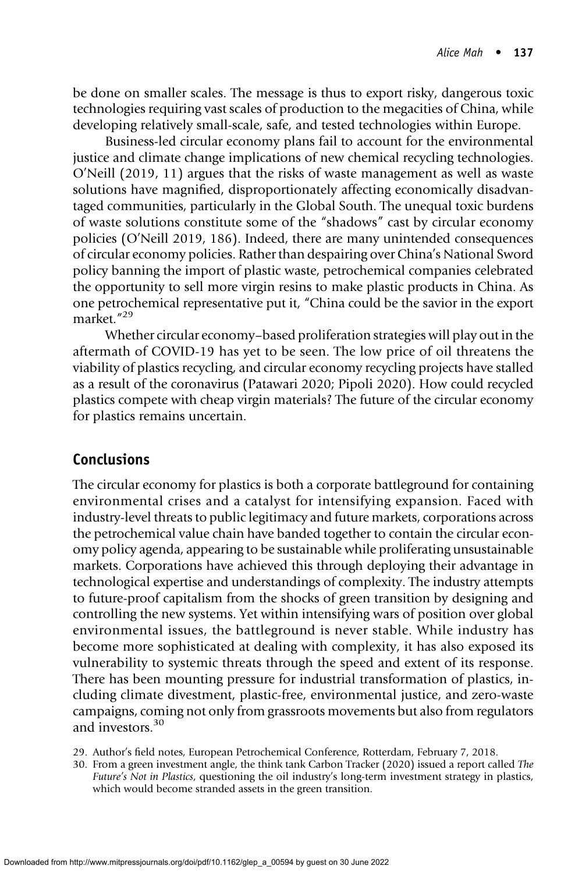be done on smaller scales. The message is thus to export risky, dangerous toxic technologies requiring vast scales of production to the megacities of China, while developing relatively small-scale, safe, and tested technologies within Europe.

Business-led circular economy plans fail to account for the environmental justice and climate change implications of new chemical recycling technologies. O'Neill (2019, 11) argues that the risks of waste management as well as waste solutions have magnified, disproportionately affecting economically disadvantaged communities, particularly in the Global South. The unequal toxic burdens of waste solutions constitute some of the "shadows" cast by circular economy policies (O'Neill 2019, 186). Indeed, there are many unintended consequences of circular economy policies. Rather than despairing over China's National Sword policy banning the import of plastic waste, petrochemical companies celebrated the opportunity to sell more virgin resins to make plastic products in China. As one petrochemical representative put it, "China could be the savior in the export market." 29

Whether circular economy–based proliferation strategies will play out in the aftermath of COVID-19 has yet to be seen. The low price of oil threatens the viability of plastics recycling, and circular economy recycling projects have stalled as a result of the coronavirus (Patawari 2020; Pipoli 2020). How could recycled plastics compete with cheap virgin materials? The future of the circular economy for plastics remains uncertain.

#### Conclusions

The circular economy for plastics is both a corporate battleground for containing environmental crises and a catalyst for intensifying expansion. Faced with industry-level threats to public legitimacy and future markets, corporations across the petrochemical value chain have banded together to contain the circular economy policy agenda, appearing to be sustainable while proliferating unsustainable markets. Corporations have achieved this through deploying their advantage in technological expertise and understandings of complexity. The industry attempts to future-proof capitalism from the shocks of green transition by designing and controlling the new systems. Yet within intensifying wars of position over global environmental issues, the battleground is never stable. While industry has become more sophisticated at dealing with complexity, it has also exposed its vulnerability to systemic threats through the speed and extent of its response. There has been mounting pressure for industrial transformation of plastics, including climate divestment, plastic-free, environmental justice, and zero-waste campaigns, coming not only from grassroots movements but also from regulators and investors.<sup>30</sup>

- 29. Author's field notes, European Petrochemical Conference, Rotterdam, February 7, 2018.
- 30. From a green investment angle, the think tank Carbon Tracker (2020) issued a report called The Future's Not in Plastics, questioning the oil industry's long-term investment strategy in plastics, which would become stranded assets in the green transition.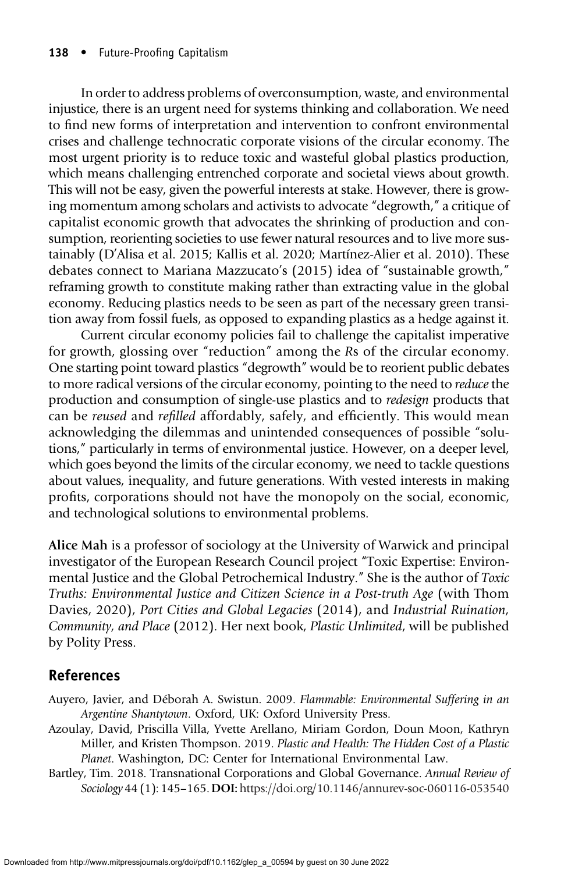In order to address problems of overconsumption, waste, and environmental injustice, there is an urgent need for systems thinking and collaboration. We need to find new forms of interpretation and intervention to confront environmental crises and challenge technocratic corporate visions of the circular economy. The most urgent priority is to reduce toxic and wasteful global plastics production, which means challenging entrenched corporate and societal views about growth. This will not be easy, given the powerful interests at stake. However, there is growing momentum among scholars and activists to advocate "degrowth," a critique of capitalist economic growth that advocates the shrinking of production and consumption, reorienting societies to use fewer natural resources and to live more sustainably (D'Alisa et al. 2015; Kallis et al. 2020; Martínez-Alier et al. 2010). These debates connect to Mariana Mazzucato's (2015) idea of "sustainable growth," reframing growth to constitute making rather than extracting value in the global economy. Reducing plastics needs to be seen as part of the necessary green transition away from fossil fuels, as opposed to expanding plastics as a hedge against it.

Current circular economy policies fail to challenge the capitalist imperative for growth, glossing over "reduction" among the Rs of the circular economy. One starting point toward plastics "degrowth" would be to reorient public debates to more radical versions of the circular economy, pointing to the need to reduce the production and consumption of single-use plastics and to redesign products that can be reused and refilled affordably, safely, and efficiently. This would mean acknowledging the dilemmas and unintended consequences of possible "solutions," particularly in terms of environmental justice. However, on a deeper level, which goes beyond the limits of the circular economy, we need to tackle questions about values, inequality, and future generations. With vested interests in making profits, corporations should not have the monopoly on the social, economic, and technological solutions to environmental problems.

Alice Mah is a professor of sociology at the University of Warwick and principal investigator of the European Research Council project "Toxic Expertise: Environmental Justice and the Global Petrochemical Industry." She is the author of Toxic Truths: Environmental Justice and Citizen Science in a Post-truth Age (with Thom Davies, 2020), Port Cities and Global Legacies (2014), and Industrial Ruination, Community, and Place (2012). Her next book, Plastic Unlimited, will be published by Polity Press.

# References

- Auyero, Javier, and Déborah A. Swistun. 2009. Flammable: Environmental Suffering in an Argentine Shantytown. Oxford, UK: Oxford University Press.
- Azoulay, David, Priscilla Villa, Yvette Arellano, Miriam Gordon, Doun Moon, Kathryn Miller, and Kristen Thompson. 2019. Plastic and Health: The Hidden Cost of a Plastic Planet. Washington, DC: Center for International Environmental Law.
- Bartley, Tim. 2018. Transnational Corporations and Global Governance. Annual Review of Sociology 44 (1): 145–165.DOI: <https://doi.org/10.1146/annurev-soc-060116-053540>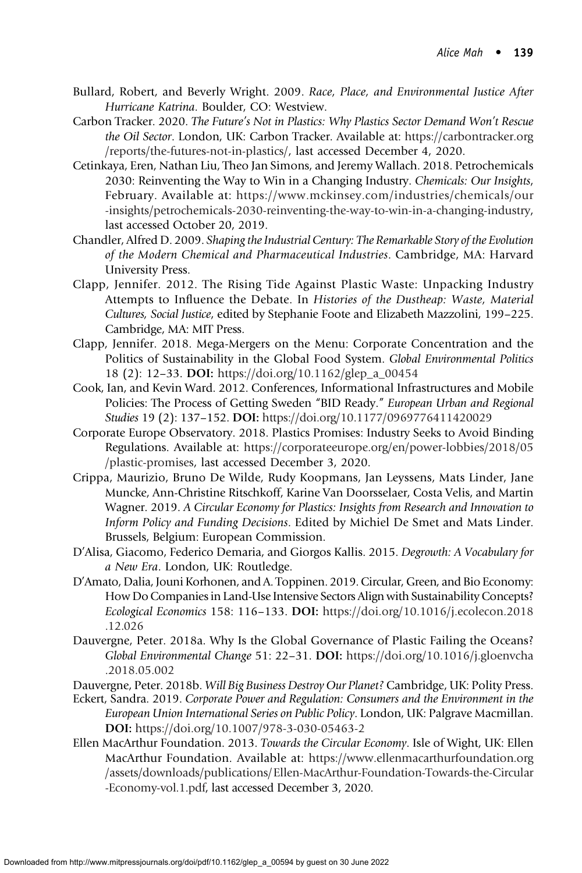- Bullard, Robert, and Beverly Wright. 2009. Race, Place, and Environmental Justice After Hurricane Katrina. Boulder, CO: Westview.
- Carbon Tracker. 2020. The Future's Not in Plastics: Why Plastics Sector Demand Won't Rescue the Oil Sector. London, UK: Carbon Tracker. Available at: [https://carbontracker.org](https://carbontracker.org/reports/the-futures-not-in-plastics/) [/reports/the-futures-not-in-plastics/](https://carbontracker.org/reports/the-futures-not-in-plastics/), last accessed December 4, 2020.
- Cetinkaya, Eren, Nathan Liu, Theo Jan Simons, and Jeremy Wallach. 2018. Petrochemicals 2030: Reinventing the Way to Win in a Changing Industry. Chemicals: Our Insights, February. Available at: [https://www.mckinsey.com/industries/chemicals/our](https://www.mckinsey.com/industries/chemicals/our-insights/petrochemicals-2030-reinventing-the-way-to-win-in-a-changing-industry) [-insights/petrochemicals-2030-reinventing-the-way-to-win-in-a-changing-industry,](https://www.mckinsey.com/industries/chemicals/our-insights/petrochemicals-2030-reinventing-the-way-to-win-in-a-changing-industry) last accessed October 20, 2019.
- Chandler, Alfred D. 2009. Shaping the Industrial Century: The Remarkable Story of the Evolution of the Modern Chemical and Pharmaceutical Industries. Cambridge, MA: Harvard University Press.
- Clapp, Jennifer. 2012. The Rising Tide Against Plastic Waste: Unpacking Industry Attempts to Influence the Debate. In Histories of the Dustheap: Waste, Material Cultures, Social Justice, edited by Stephanie Foote and Elizabeth Mazzolini, 199–225. Cambridge, MA: MIT Press.
- Clapp, Jennifer. 2018. Mega-Mergers on the Menu: Corporate Concentration and the Politics of Sustainability in the Global Food System. Global Environmental Politics 18 (2): 12–33. DOI: [https://doi.org/10.1162/glep\\_a\\_00454](https://doi.org/10.1162/glep_a_00454)
- Cook, Ian, and Kevin Ward. 2012. Conferences, Informational Infrastructures and Mobile Policies: The Process of Getting Sweden "BID Ready." European Urban and Regional Studies 19 (2): 137–152. DOI: <https://doi.org/10.1177/0969776411420029>
- Corporate Europe Observatory. 2018. Plastics Promises: Industry Seeks to Avoid Binding Regulations. Available at: [https://corporateeurope.org/en/power-lobbies/2018/05](https://corporateeurope.org/en/power-lobbies/2018/05/plastic-promises) [/plastic-promises,](https://corporateeurope.org/en/power-lobbies/2018/05/plastic-promises) last accessed December 3, 2020.
- Crippa, Maurizio, Bruno De Wilde, Rudy Koopmans, Jan Leyssens, Mats Linder, Jane Muncke, Ann-Christine Ritschkoff, Karine Van Doorsselaer, Costa Velis, and Martin Wagner. 2019. A Circular Economy for Plastics: Insights from Research and Innovation to Inform Policy and Funding Decisions. Edited by Michiel De Smet and Mats Linder. Brussels, Belgium: European Commission.
- D'Alisa, Giacomo, Federico Demaria, and Giorgos Kallis. 2015. Degrowth: A Vocabulary for a New Era. London, UK: Routledge.
- D'Amato, Dalia, Jouni Korhonen, and A. Toppinen. 2019. Circular, Green, and Bio Economy: How Do Companies in Land-Use Intensive Sectors Align with Sustainability Concepts? Ecological Economics 158: 116–133. DOI: [https://doi.org/10.1016/j.ecolecon.2018](https://doi.org/10.1016/j.ecolecon.2018.12.026) [.12.026](https://doi.org/10.1016/j.ecolecon.2018.12.026)
- Dauvergne, Peter. 2018a. Why Is the Global Governance of Plastic Failing the Oceans? Global Environmental Change 51: 22–31. DOI: [https://doi.org/10.1016/j.gloenvcha](https://doi.org/10.1016/j.gloenvcha.2018.05.002) [.2018.05.002](https://doi.org/10.1016/j.gloenvcha.2018.05.002)
- Dauvergne, Peter. 2018b. Will Big Business Destroy Our Planet? Cambridge, UK: Polity Press.
- Eckert, Sandra. 2019. Corporate Power and Regulation: Consumers and the Environment in the European Union International Series on Public Policy. London, UK: Palgrave Macmillan. DOI: <https://doi.org/10.1007/978-3-030-05463-2>
- Ellen MacArthur Foundation. 2013. Towards the Circular Economy. Isle of Wight, UK: Ellen MacArthur Foundation. Available at: [https://www.ellenmacarthurfoundation.org](https://www.ellenmacarthurfoundation.org/assets/downloads/publications/Ellen-MacArthur-Foundation-Towards-the-Circular-Economy-vol.1.pdf) [/assets/downloads/publications/Ellen-MacArthur-Foundation-Towards-the-Circular](https://www.ellenmacarthurfoundation.org/assets/downloads/publications/Ellen-MacArthur-Foundation-Towards-the-Circular-Economy-vol.1.pdf) [-Economy-vol.1.pdf](https://www.ellenmacarthurfoundation.org/assets/downloads/publications/Ellen-MacArthur-Foundation-Towards-the-Circular-Economy-vol.1.pdf), last accessed December 3, 2020.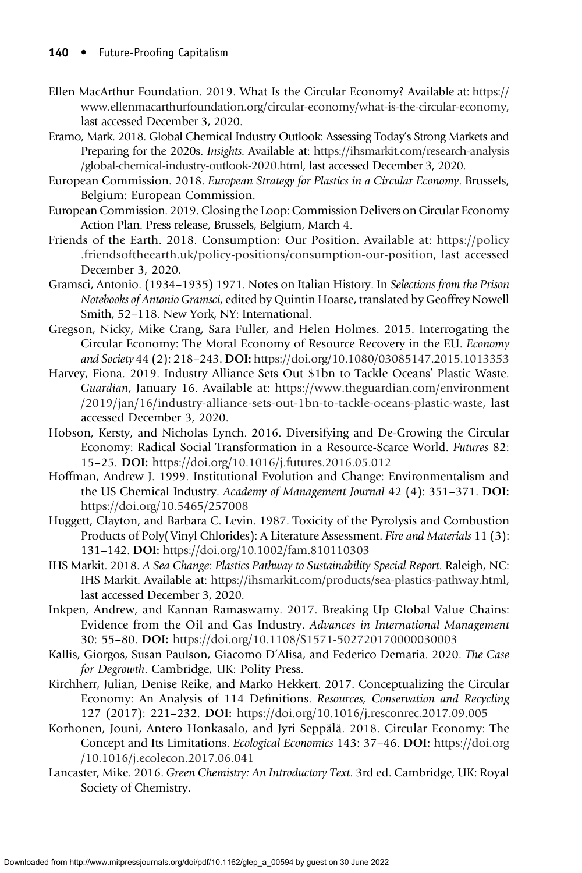- Ellen MacArthur Foundation. 2019. What Is the Circular Economy? Available at: [https://](https://www.ellenmacarthurfoundation.org/circular-economy/what-is-the-circular-economy) [www.ellenmacarthurfoundation.org/circular-economy/what-is-the-circular-economy,](https://www.ellenmacarthurfoundation.org/circular-economy/what-is-the-circular-economy) last accessed December 3, 2020.
- Eramo, Mark. 2018. Global Chemical Industry Outlook: Assessing Today's Strong Markets and Preparing for the 2020s. Insights. Available at: [https://ihsmarkit.com/research-analysis](https://ihsmarkit.com/research-analysis/global-chemical-industry-outlook-2020.html) [/global-chemical-industry-outlook-2020.html,](https://ihsmarkit.com/research-analysis/global-chemical-industry-outlook-2020.html) last accessed December 3, 2020.
- European Commission. 2018. European Strategy for Plastics in a Circular Economy. Brussels, Belgium: European Commission.
- European Commission. 2019. Closing the Loop: Commission Delivers on Circular Economy Action Plan. Press release, Brussels, Belgium, March 4.
- Friends of the Earth. 2018. Consumption: Our Position. Available at: [https://policy](https://policy.friendsoftheearth.uk/policy-positions/consumption-our-position) [.friendsoftheearth.uk/policy-positions/consumption-our-position,](https://policy.friendsoftheearth.uk/policy-positions/consumption-our-position) last accessed December 3, 2020.
- Gramsci, Antonio. (1934–1935) 1971. Notes on Italian History. In Selections from the Prison Notebooks of Antonio Gramsci, edited by Quintin Hoarse, translated by Geoffrey Nowell Smith, 52–118. New York, NY: International.
- Gregson, Nicky, Mike Crang, Sara Fuller, and Helen Holmes. 2015. Interrogating the Circular Economy: The Moral Economy of Resource Recovery in the EU. Economy and Society 44 (2): 218–243. DOI: <https://doi.org/10.1080/03085147.2015.1013353>
- Harvey, Fiona. 2019. Industry Alliance Sets Out \$1bn to Tackle Oceans' Plastic Waste. Guardian, January 16. Available at: [https://www.theguardian.com/environment](https://www.theguardian.com/environment/2019/jan/16/industry-alliance-sets-out-1bn-to-tackle-oceans-plastic-waste) [/2019/jan/16/industry-alliance-sets-out-1bn-to-tackle-oceans-plastic-waste](https://www.theguardian.com/environment/2019/jan/16/industry-alliance-sets-out-1bn-to-tackle-oceans-plastic-waste), last accessed December 3, 2020.
- Hobson, Kersty, and Nicholas Lynch. 2016. Diversifying and De-Growing the Circular Economy: Radical Social Transformation in a Resource-Scarce World. Futures 82: 15–25. DOI: <https://doi.org/10.1016/j.futures.2016.05.012>
- Hoffman, Andrew J. 1999. Institutional Evolution and Change: Environmentalism and the US Chemical Industry. Academy of Management Journal 42 (4): 351–371. DOI: <https://doi.org/10.5465/257008>
- Huggett, Clayton, and Barbara C. Levin. 1987. Toxicity of the Pyrolysis and Combustion Products of Poly(Vinyl Chlorides): A Literature Assessment. Fire and Materials 11 (3): 131–142. DOI: <https://doi.org/10.1002/fam.810110303>
- IHS Markit. 2018. A Sea Change: Plastics Pathway to Sustainability Special Report. Raleigh, NC: IHS Markit. Available at: [https://ihsmarkit.com/products/sea-plastics-pathway.html,](https://ihsmarkit.com/products/sea-plastics-pathway.html) last accessed December 3, 2020.
- Inkpen, Andrew, and Kannan Ramaswamy. 2017. Breaking Up Global Value Chains: Evidence from the Oil and Gas Industry. Advances in International Management 30: 55–80. DOI: <https://doi.org/10.1108/S1571-502720170000030003>
- Kallis, Giorgos, Susan Paulson, Giacomo D'Alisa, and Federico Demaria. 2020. The Case for Degrowth. Cambridge, UK: Polity Press.
- Kirchherr, Julian, Denise Reike, and Marko Hekkert. 2017. Conceptualizing the Circular Economy: An Analysis of 114 Definitions. Resources, Conservation and Recycling 127 (2017): 221–232. DOI: <https://doi.org/10.1016/j.resconrec.2017.09.005>
- Korhonen, Jouni, Antero Honkasalo, and Jyri Seppälä. 2018. Circular Economy: The Concept and Its Limitations. Ecological Economics 143: 37–46. DOI: [https://doi.org](https://doi.org/10.1016/j.ecolecon.2017.06.041) [/10.1016/j.ecolecon.2017.06.041](https://doi.org/10.1016/j.ecolecon.2017.06.041)
- Lancaster, Mike. 2016. Green Chemistry: An Introductory Text. 3rd ed. Cambridge, UK: Royal Society of Chemistry.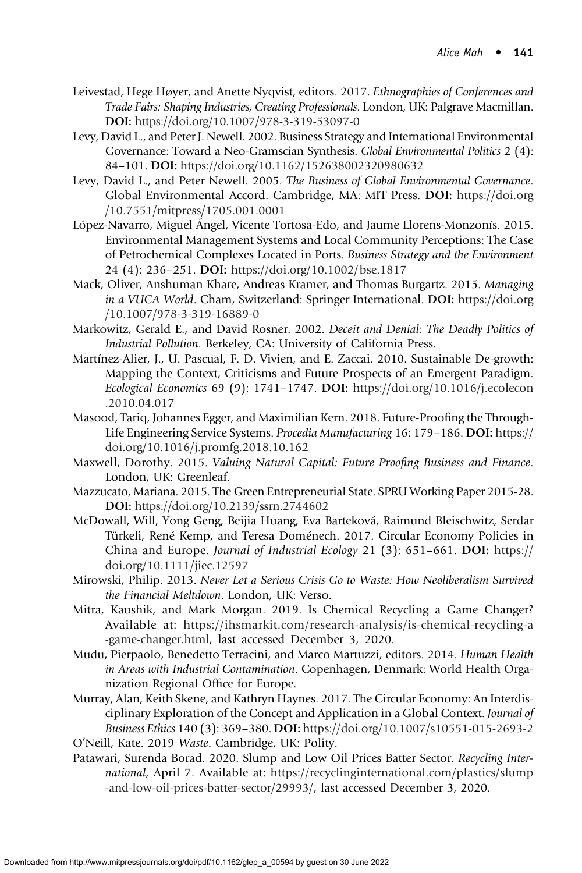- Leivestad, Hege Høyer, and Anette Nyqvist, editors. 2017. Ethnographies of Conferences and Trade Fairs: Shaping Industries, Creating Professionals. London, UK: Palgrave Macmillan. DOI: <https://doi.org/10.1007/978-3-319-53097-0>
- Levy, David L., and Peter J. Newell. 2002. Business Strategy and International Environmental Governance: Toward a Neo-Gramscian Synthesis. Global Environmental Politics 2 (4): 84–101. DOI: <https://doi.org/10.1162/152638002320980632>
- Levy, David L., and Peter Newell. 2005. The Business of Global Environmental Governance. Global Environmental Accord. Cambridge, MA: MIT Press. DOI: [https://doi.org](https://doi.org/10.7551/mitpress/1705.001.0001) [/10.7551/mitpress/1705.001.0001](https://doi.org/10.7551/mitpress/1705.001.0001)
- López-Navarro, Miguel Ángel, Vicente Tortosa-Edo, and Jaume Llorens-Monzonís. 2015. Environmental Management Systems and Local Community Perceptions: The Case of Petrochemical Complexes Located in Ports. Business Strategy and the Environment 24 (4): 236–251. DOI: <https://doi.org/10.1002/bse.1817>
- Mack, Oliver, Anshuman Khare, Andreas Kramer, and Thomas Burgartz. 2015. Managing in a VUCA World. Cham, Switzerland: Springer International. DOI: [https://doi.org](https://doi.org/10.1007/978-3-319-16889-0) [/10.1007/978-3-319-16889-0](https://doi.org/10.1007/978-3-319-16889-0)
- Markowitz, Gerald E., and David Rosner. 2002. Deceit and Denial: The Deadly Politics of Industrial Pollution. Berkeley, CA: University of California Press.
- Martínez-Alier, J., U. Pascual, F. D. Vivien, and E. Zaccai. 2010. Sustainable De-growth: Mapping the Context, Criticisms and Future Prospects of an Emergent Paradigm. Ecological Economics 69 (9): 1741–1747. DOI: [https://doi.org/10.1016/j.ecolecon](https://doi.org/10.1016/j.ecolecon.2010.04.017) [.2010.04.017](https://doi.org/10.1016/j.ecolecon.2010.04.017)
- Masood, Tariq, Johannes Egger, and Maximilian Kern. 2018. Future-Proofing the Through-Life Engineering Service Systems. Procedia Manufacturing 16: 179–186. DOI: [https://](https://doi.org/10.1016/j.promfg.2018.10.162) [doi.org/10.1016/j.promfg.2018.10.162](https://doi.org/10.1016/j.promfg.2018.10.162)
- Maxwell, Dorothy. 2015. Valuing Natural Capital: Future Proofing Business and Finance. London, UK: Greenleaf.
- Mazzucato, Mariana. 2015. The Green Entrepreneurial State. SPRU Working Paper 2015-28. DOI: <https://doi.org/10.2139/ssrn.2744602>
- McDowall, Will, Yong Geng, Beijia Huang, Eva Barteková, Raimund Bleischwitz, Serdar Türkeli, René Kemp, and Teresa Doménech. 2017. Circular Economy Policies in China and Europe. Journal of Industrial Ecology 21 (3): 651–661. DOI: [https://](https://doi.org/10.1111/jiec.12597) [doi.org/10.1111/jiec.12597](https://doi.org/10.1111/jiec.12597)
- Mirowski, Philip. 2013. Never Let a Serious Crisis Go to Waste: How Neoliberalism Survived the Financial Meltdown. London, UK: Verso.
- Mitra, Kaushik, and Mark Morgan. 2019. Is Chemical Recycling a Game Changer? Available at: [https://ihsmarkit.com/research-analysis/is-chemical-recycling-a](https://ihsmarkit.com/research-analysis/is-chemical-recycling-a-game-changer.html) [-game-changer.html](https://ihsmarkit.com/research-analysis/is-chemical-recycling-a-game-changer.html), last accessed December 3, 2020.
- Mudu, Pierpaolo, Benedetto Terracini, and Marco Martuzzi, editors. 2014. Human Health in Areas with Industrial Contamination. Copenhagen, Denmark: World Health Organization Regional Office for Europe.
- Murray, Alan, Keith Skene, and Kathryn Haynes. 2017. The Circular Economy: An Interdisciplinary Exploration of the Concept and Application in a Global Context. Journal of Business Ethics 140 (3): 369–380. DOI: <https://doi.org/10.1007/s10551-015-2693-2>
- O'Neill, Kate. 2019 Waste. Cambridge, UK: Polity.
- Patawari, Surenda Borad. 2020. Slump and Low Oil Prices Batter Sector. Recycling International, April 7. Available at: [https://recyclinginternational.com/plastics/slump](https://recyclinginternational.com/plastics/slump-and-low-oil-prices-batter-sector/29993/) [-and-low-oil-prices-batter-sector/29993/,](https://recyclinginternational.com/plastics/slump-and-low-oil-prices-batter-sector/29993/) last accessed December 3, 2020.